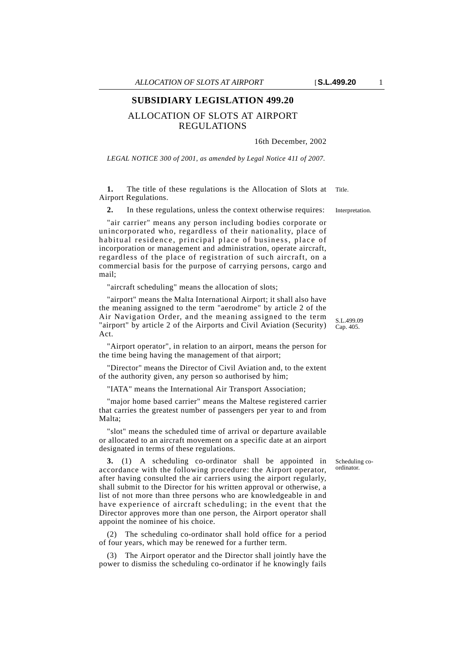## **SUBSIDIARY LEGISLATION 499.20**

## ALLOCATION OF SLOTS AT AIRPORT REGULATIONS

## 16th December, 2002

*LEGAL NOTICE 300 of 2001, as amended by Legal Notice 411 of 2007.*

**1.** The title of these regulations is the Allocation of Slots at Title. Airport Regulations.

**2.** In these regulations, unless the context otherwise requires: Interpretation.

"air carrier" means any person including bodies corporate or unincorporated who, regardless of their nationality, place of habitual residence, principal place of business, place of incorporation or management and administration, operate aircraft, regardless of the place of registration of such aircraft, on a commercial basis for the purpose of carrying persons, cargo and mail;

"aircraft scheduling" means the allocation of slots;

"airport" means the Malta International Airport; it shall also have the meaning assigned to the term "aerodrome" by article 2 of the Air Navigation Order, and the meaning assigned to the term "airport" by article 2 of the Airports and Civil Aviation (Security) Act.

"Airport operator", in relation to an airport, means the person for the time being having the management of that airport;

"Director" means the Director of Civil Aviation and, to the extent of the authority given, any person so authorised by him;

"IATA" means the International Air Transport Association;

"major home based carrier" means the Maltese registered carrier that carries the greatest number of passengers per year to and from Malta;

"slot" means the scheduled time of arrival or departure available or allocated to an aircraft movement on a specific date at an airport designated in terms of these regulations.

**3.** (1) A scheduling co-ordinator shall be appointed in accordance with the following procedure: the Airport operator, after having consulted the air carriers using the airport regularly, shall submit to the Director for his written approval or otherwise, a list of not more than three persons who are knowledgeable in and have experience of aircraft scheduling; in the event that the Director approves more than one person, the Airport operator shall appoint the nominee of his choice.

(2) The scheduling co-ordinator shall hold office for a period of four years, which may be renewed for a further term.

(3) The Airport operator and the Director shall jointly have the power to dismiss the scheduling co-ordinator if he knowingly fails Scheduling coordinator.

S.L.499.09 Cap. 405.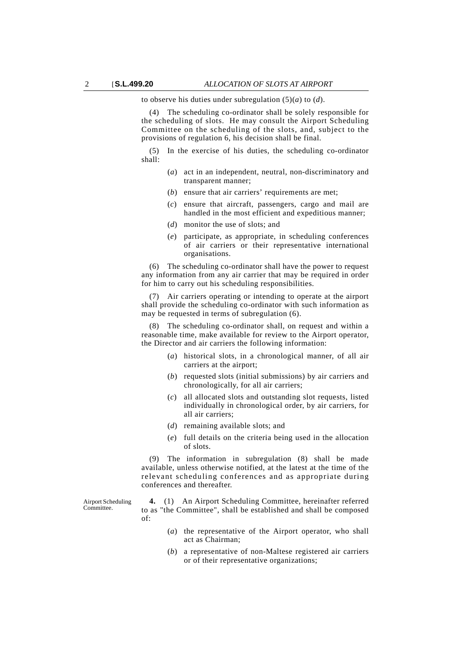to observe his duties under subregulation (5)(*a*) to (*d*).

(4) The scheduling co-ordinator shall be solely responsible for the scheduling of slots. He may consult the Airport Scheduling Committee on the scheduling of the slots, and, subject to the provisions of regulation 6, his decision shall be final.

(5) In the exercise of his duties, the scheduling co-ordinator shall:

- (*a*) act in an independent, neutral, non-discriminatory and transparent manner;
- (*b*) ensure that air carriers' requirements are met;
- (*c*) ensure that aircraft, passengers, cargo and mail are handled in the most efficient and expeditious manner;
- (*d*) monitor the use of slots; and
- (*e*) participate, as appropriate, in scheduling conferences of air carriers or their representative international organisations.

(6) The scheduling co-ordinator shall have the power to request any information from any air carrier that may be required in order for him to carry out his scheduling responsibilities.

(7) Air carriers operating or intending to operate at the airport shall provide the scheduling co-ordinator with such information as may be requested in terms of subregulation (6).

(8) The scheduling co-ordinator shall, on request and within a reasonable time, make available for review to the Airport operator, the Director and air carriers the following information:

- (*a*) historical slots, in a chronological manner, of all air carriers at the airport;
- (*b*) requested slots (initial submissions) by air carriers and chronologically, for all air carriers;
- (*c*) all allocated slots and outstanding slot requests, listed individually in chronological order, by air carriers, for all air carriers;
- (*d*) remaining available slots; and
- (*e*) full details on the criteria being used in the allocation of slots.

(9) The information in subregulation (8) shall be made available, unless otherwise notified, at the latest at the time of the relevant scheduling conferences and as appropriate during conferences and thereafter.

Airport Scheduling Committee.

**4.** (1) An Airport Scheduling Committee, hereinafter referred to as "the Committee", shall be established and shall be composed of:

- (*a*) the representative of the Airport operator, who shall act as Chairman;
- (*b*) a representative of non-Maltese registered air carriers or of their representative organizations;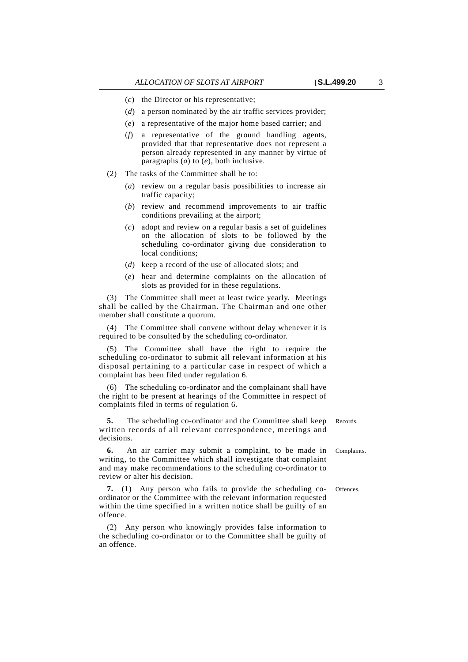- (*d*) a person nominated by the air traffic services provider;
- (*e*) a representative of the major home based carrier; and
- (*f*) a representative of the ground handling agents, provided that that representative does not represent a person already represented in any manner by virtue of paragraphs (*a*) to (*e*), both inclusive.
- (2) The tasks of the Committee shall be to:
	- (*a*) review on a regular basis possibilities to increase air traffic capacity;
	- (*b*) review and recommend improvements to air traffic conditions prevailing at the airport;
	- (*c*) adopt and review on a regular basis a set of guidelines on the allocation of slots to be followed by the scheduling co-ordinator giving due consideration to local conditions;
	- (*d*) keep a record of the use of allocated slots; and
	- (*e*) hear and determine complaints on the allocation of slots as provided for in these regulations.

(3) The Committee shall meet at least twice yearly. Meetings shall be called by the Chairman. The Chairman and one other member shall constitute a quorum.

(4) The Committee shall convene without delay whenever it is required to be consulted by the scheduling co-ordinator.

(5) The Committee shall have the right to require the scheduling co-ordinator to submit all relevant information at his disposal pertaining to a particular case in respect of which a complaint has been filed under regulation 6.

(6) The scheduling co-ordinator and the complainant shall have the right to be present at hearings of the Committee in respect of complaints filed in terms of regulation 6.

**5.** The scheduling co-ordinator and the Committee shall keep Records. written records of all relevant correspondence, meetings and decisions.

**6.** An air carrier may submit a complaint, to be made in Complaints. writing, to the Committee which shall investigate that complaint and may make recommendations to the scheduling co-ordinator to review or alter his decision.

**7.** (1) Any person who fails to provide the scheduling co- Offences. ordinator or the Committee with the relevant information requested within the time specified in a written notice shall be guilty of an offence.

(2) Any person who knowingly provides false information to the scheduling co-ordinator or to the Committee shall be guilty of an offence.